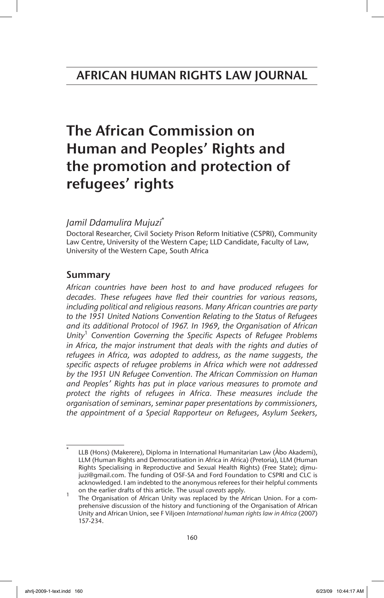# The African Commission on Human and Peoples' Rights and the promotion and protection of refugees' rights

## *Jamil Ddamulira Mujuzi*\*

Doctoral Researcher, Civil Society Prison Reform Initiative (CSPRI), Community Law Centre, University of the Western Cape; LLD Candidate, Faculty of Law, University of the Western Cape, South Africa

## Summary

*African countries have been host to and have produced refugees for decades. These refugees have fled their countries for various reasons, including political and religious reasons. Many African countries are party to the 1951 United Nations Convention Relating to the Status of Refugees and its additional Protocol of 1967. In 1969, the Organisation of African Unity*<sup>1</sup>  *Convention Governing the Specific Aspects of Refugee Problems in Africa, the major instrument that deals with the rights and duties of refugees in Africa, was adopted to address, as the name suggests, the specific aspects of refugee problems in Africa which were not addressed by the 1951 UN Refugee Convention. The African Commission on Human and Peoples' Rights has put in place various measures to promote and protect the rights of refugees in Africa. These measures include the organisation of seminars, seminar paper presentations by commissioners, the appointment of a Special Rapporteur on Refugees, Asylum Seekers,*

<sup>\*</sup> LLB (Hons) (Makerere), Diploma in International Humanitarian Law (Åbo Akademi), LLM (Human Rights and Democratisation in Africa in Africa) (Pretoria), LLM (Human Rights Specialising in Reproductive and Sexual Health Rights) (Free State); djmujuzi@gmail.com. The funding of OSF-SA and Ford Foundation to CSPRI and CLC is acknowledged. I am indebted to the anonymous referees for their helpful comments

on the earlier drafts of this article. The usual *caveats* apply.<br>The Organisation of African Unity was replaced by the African Union. For a comprehensive discussion of the history and functioning of the Organisation of African Unity and African Union, see F Viljoen *International human rights law in Africa* (2007) 157-234.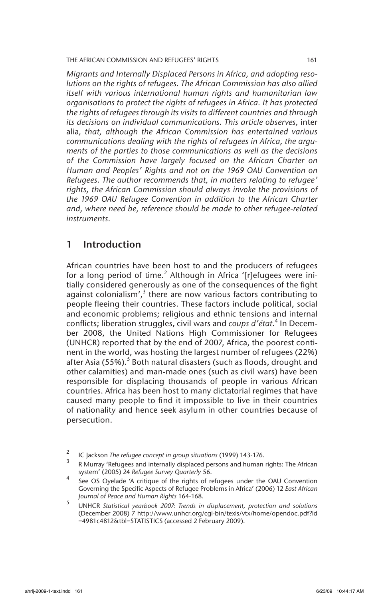*Migrants and Internally Displaced Persons in Africa, and adopting resolutions on the rights of refugees. The African Commission has also allied itself with various international human rights and humanitarian law organisations to protect the rights of refugees in Africa. It has protected the rights of refugees through its visits to different countries and through its decisions on individual communications. This article observes,* inter alia*, that, although the African Commission has entertained various communications dealing with the rights of refugees in Africa, the arguments of the parties to those communications as well as the decisions of the Commission have largely focused on the African Charter on Human and Peoples' Rights and not on the 1969 OAU Convention on Refugees. The author recommends that, in matters relating to refugee' rights, the African Commission should always invoke the provisions of the 1969 OAU Refugee Convention in addition to the African Charter and, where need be, reference should be made to other refugee-related instruments.*

## 1 Introduction

African countries have been host to and the producers of refugees for a long period of time. $^2$  Although in Africa '[r]efugees were initially considered generously as one of the consequences of the fight against colonialism', $3$  there are now various factors contributing to people fleeing their countries. These factors include political, social and economic problems; religious and ethnic tensions and internal conflicts; liberation struggles, civil wars and *coups d'état*.<sup>4</sup> In December 2008, the United Nations High Commissioner for Refugees (UNHCR) reported that by the end of 2007, Africa, the poorest continent in the world, was hosting the largest number of refugees (22%) after Asia (55%).<sup>5</sup> Both natural disasters (such as floods, drought and other calamities) and man-made ones (such as civil wars) have been responsible for displacing thousands of people in various African countries. Africa has been host to many dictatorial regimes that have caused many people to find it impossible to live in their countries of nationality and hence seek asylum in other countries because of persecution.

<sup>2</sup> IC Jackson *The refugee concept in group situations* (1999) 143-176.

<sup>3</sup> R Murray 'Refugees and internally displaced persons and human rights: The African system' (2005) 24 *Refugee Survey Quarterly* 56.

See OS Oyelade 'A critique of the rights of refugees under the OAU Convention Governing the Specific Aspects of Refugee Problems in Africa' (2006) 12 *East African Journal of Peace and Human Rights* 164-168.

<sup>5</sup> UNHCR *Statistical yearbook 2007: Trends in displacement, protection and solutions* (December 2008) 7 http://www.unhcr.org/cgi-bin/texis/vtx/home/opendoc.pdf?id =4981c4812&tbl=STATISTICS (accessed 2 February 2009).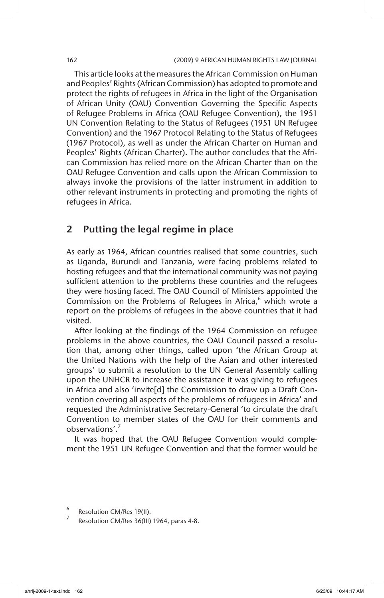This article looks at the measures the African Commission on Human and Peoples' Rights (African Commission) has adopted to promote and protect the rights of refugees in Africa in the light of the Organisation of African Unity (OAU) Convention Governing the Specific Aspects of Refugee Problems in Africa (OAU Refugee Convention), the 1951 UN Convention Relating to the Status of Refugees (1951 UN Refugee Convention) and the 1967 Protocol Relating to the Status of Refugees (1967 Protocol), as well as under the African Charter on Human and Peoples' Rights (African Charter). The author concludes that the African Commission has relied more on the African Charter than on the OAU Refugee Convention and calls upon the African Commission to always invoke the provisions of the latter instrument in addition to other relevant instruments in protecting and promoting the rights of refugees in Africa.

## 2 Putting the legal regime in place

As early as 1964, African countries realised that some countries, such as Uganda, Burundi and Tanzania, were facing problems related to hosting refugees and that the international community was not paying sufficient attention to the problems these countries and the refugees they were hosting faced. The OAU Council of Ministers appointed the Commission on the Problems of Refugees in Africa, $6$  which wrote a report on the problems of refugees in the above countries that it had visited.

After looking at the findings of the 1964 Commission on refugee problems in the above countries, the OAU Council passed a resolution that, among other things, called upon 'the African Group at the United Nations with the help of the Asian and other interested groups' to submit a resolution to the UN General Assembly calling upon the UNHCR to increase the assistance it was giving to refugees in Africa and also 'invite[d] the Commission to draw up a Draft Convention covering all aspects of the problems of refugees in Africa' and requested the Administrative Secretary-General 'to circulate the draft Convention to member states of the OAU for their comments and observations'<sup>7</sup>

It was hoped that the OAU Refugee Convention would complement the 1951 UN Refugee Convention and that the former would be

<sup>6</sup> Resolution CM/Res 19(II).

Resolution CM/Res 36(III) 1964, paras 4-8.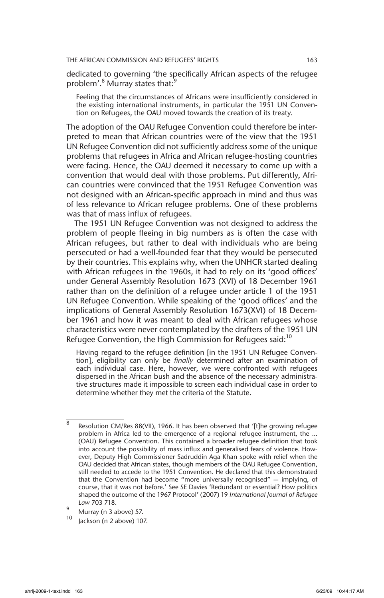dedicated to governing 'the specifically African aspects of the refugee problem'.<sup>8</sup> Murray states that:<sup>9</sup>

Feeling that the circumstances of Africans were insufficiently considered in the existing international instruments, in particular the 1951 UN Convention on Refugees, the OAU moved towards the creation of its treaty.

The adoption of the OAU Refugee Convention could therefore be interpreted to mean that African countries were of the view that the 1951 UN Refugee Convention did not sufficiently address some of the unique problems that refugees in Africa and African refugee-hosting countries were facing. Hence, the OAU deemed it necessary to come up with a convention that would deal with those problems. Put differently, African countries were convinced that the 1951 Refugee Convention was not designed with an African-specific approach in mind and thus was of less relevance to African refugee problems. One of these problems was that of mass influx of refugees.

The 1951 UN Refugee Convention was not designed to address the problem of people fleeing in big numbers as is often the case with African refugees, but rather to deal with individuals who are being persecuted or had a well-founded fear that they would be persecuted by their countries. This explains why, when the UNHCR started dealing with African refugees in the 1960s, it had to rely on its 'good offices' under General Assembly Resolution 1673 (XVI) of 18 December 1961 rather than on the definition of a refugee under article 1 of the 1951 UN Refugee Convention. While speaking of the 'good offices' and the implications of General Assembly Resolution 1673(XVI) of 18 December 1961 and how it was meant to deal with African refugees whose characteristics were never contemplated by the drafters of the 1951 UN Refugee Convention, the High Commission for Refugees said:<sup>10</sup>

Having regard to the refugee definition [in the 1951 UN Refugee Convention], eligibility can only be *finally* determined after an examination of each individual case. Here, however, we were confronted with refugees dispersed in the African bush and the absence of the necessary administrative structures made it impossible to screen each individual case in order to determine whether they met the criteria of the Statute.

 $\overline{8}$  Resolution CM/Res 88(VII), 1966. It has been observed that '[t]he growing refugee problem in Africa led to the emergence of a regional refugee instrument, the ... (OAU) Refugee Convention. This contained a broader refugee definition that took into account the possibility of mass influx and generalised fears of violence. However, Deputy High Commissioner Sadruddin Aga Khan spoke with relief when the OAU decided that African states, though members of the OAU Refugee Convention, still needed to accede to the 1951 Convention. He declared that this demonstrated that the Convention had become "more universally recognised" — implying, of course, that it was not before.' See SE Davies 'Redundant or essential? How politics shaped the outcome of the 1967 Protocol' (2007) 19 *International Journal of Refugee Law* 703 718.

<sup>&</sup>lt;sup>9</sup> Murray (n 3 above) 57.

Jackson (n 2 above) 107.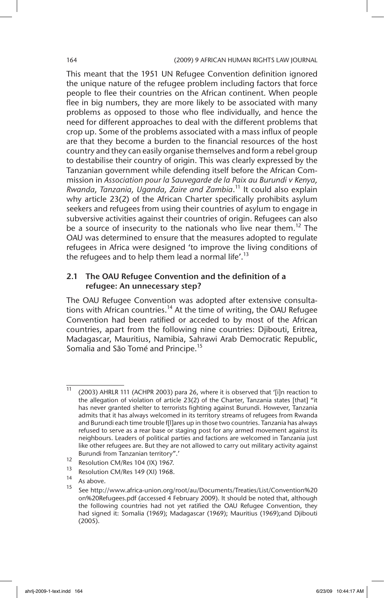#### 164 (2009) 9 AFRICAN HUMAN RIGHTS LAW JOURNAL

This meant that the 1951 UN Refugee Convention definition ignored the unique nature of the refugee problem including factors that force people to flee their countries on the African continent. When people flee in big numbers, they are more likely to be associated with many problems as opposed to those who flee individually, and hence the need for different approaches to deal with the different problems that crop up. Some of the problems associated with a mass influx of people are that they become a burden to the financial resources of the host country and they can easily organise themselves and form a rebel group to destabilise their country of origin. This was clearly expressed by the Tanzanian government while defending itself before the African Commission in *Association pour la Sauvegarde de la Paix au Burundi v Kenya, Rwanda, Tanzania, Uganda, Zaire and Zambia*. 11 It could also explain why article 23(2) of the African Charter specifically prohibits asylum seekers and refugees from using their countries of asylum to engage in subversive activities against their countries of origin. Refugees can also be a source of insecurity to the nationals who live near them.<sup>12</sup> The OAU was determined to ensure that the measures adopted to regulate refugees in Africa were designed 'to improve the living conditions of the refugees and to help them lead a normal life'.<sup>13</sup>

## 2.1 The OAU Refugee Convention and the definition of a refugee: An unnecessary step?

The OAU Refugee Convention was adopted after extensive consultations with African countries.<sup>14</sup> At the time of writing, the OAU Refugee Convention had been ratified or acceded to by most of the African countries, apart from the following nine countries: Djibouti, Eritrea, Madagascar, Mauritius, Namibia, Sahrawi Arab Democratic Republic, Somalia and São Tomé and Principe.<sup>15</sup>

<sup>11</sup> (2003) AHRLR 111 (ACHPR 2003) para 26, where it is observed that '[i]n reaction to the allegation of violation of article 23(2) of the Charter, Tanzania states [that] "it has never granted shelter to terrorists fighting against Burundi. However, Tanzania admits that it has always welcomed in its territory streams of refugees from Rwanda and Burundi each time trouble f[l]ares up in those two countries. Tanzania has always refused to serve as a rear base or staging post for any armed movement against its neighbours. Leaders of political parties and factions are welcomed in Tanzania just like other refugees are. But they are not allowed to carry out military activity against Burundi from Tanzanian territory".'

<sup>&</sup>lt;sup>12</sup> Resolution CM/Res 104 (IX) 1967.

 $\frac{13}{14}$  Resolution CM/Res 149 (XI) 1968.

 $15$  As above.

<sup>15</sup> See http://www.africa-union.org/root/au/Documents/Treaties/List/Convention%20 on%20Refugees.pdf (accessed 4 February 2009). It should be noted that, although the following countries had not yet ratified the OAU Refugee Convention, they had signed it: Somalia (1969); Madagascar (1969); Mauritius (1969);and Djibouti (2005).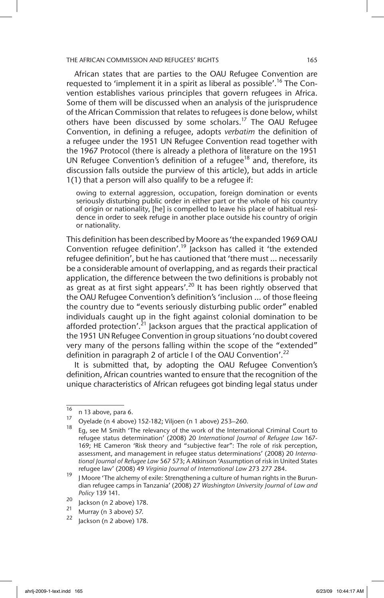African states that are parties to the OAU Refugee Convention are requested to 'implement it in a spirit as liberal as possible'.<sup>16</sup> The Convention establishes various principles that govern refugees in Africa. Some of them will be discussed when an analysis of the jurisprudence of the African Commission that relates to refugees is done below, whilst others have been discussed by some scholars.<sup>17</sup> The OAU Refugee Convention, in defining a refugee, adopts *verbatim* the definition of a refugee under the 1951 UN Refugee Convention read together with the 1967 Protocol (there is already a plethora of literature on the 1951 UN Refugee Convention's definition of a refugee<sup>18</sup> and, therefore, its discussion falls outside the purview of this article), but adds in article 1(1) that a person will also qualify to be a refugee if:

owing to external aggression, occupation, foreign domination or events seriously disturbing public order in either part or the whole of his country of origin or nationality, [he] is compelled to leave his place of habitual residence in order to seek refuge in another place outside his country of origin or nationality.

This definition has been described by Moore as 'the expanded 1969 OAU Convention refugee definition'.<sup>19</sup> Jackson has called it 'the extended refugee definition', but he has cautioned that 'there must … necessarily be a considerable amount of overlapping, and as regards their practical application, the difference between the two definitions is probably not  $a\bar{b}$  great as at first sight appears'.<sup>20</sup> It has been rightly observed that the OAU Refugee Convention's definition's 'inclusion ... of those fleeing the country due to "events seriously disturbing public order" enabled individuals caught up in the fight against colonial domination to be afforded protection'.<sup>21</sup> Jackson argues that the practical application of the 1951 UN Refugee Convention in group situations 'no doubt covered very many of the persons falling within the scope of the "extended" definition in paragraph 2 of article I of the OAU Convention'.<sup>22</sup>

It is submitted that, by adopting the OAU Refugee Convention's definition, African countries wanted to ensure that the recognition of the unique characteristics of African refugees got binding legal status under

 $\frac{16}{17}$  n 13 above, para 6.

<sup>&</sup>lt;sup>17</sup> Oyelade (n 4 above) 152-182; Viljoen (n 1 above) 253–260.

<sup>18</sup> Eg, see M Smith 'The relevancy of the work of the International Criminal Court to refugee status determination' (2008) 20 *International Journal of Refugee Law* 167- 169; HE Cameron 'Risk theory and "subjective fear": The role of risk perception, assessment, and management in refugee status determinations' (2008) 20 *International Journal of Refugee Law* 567 573; A Atkinson 'Assumption of risk in United States refugee law' (2008) 49 *Virginia Journal of International Law* 273 277 284.

 $19$  J Moore 'The alchemy of exile: Strengthening a culture of human rights in the Burundian refugee camps in Tanzania' (2008) 27 *Washington University Journal of Law and Policy* 139 141.

 $\frac{20}{21}$  Jackson (n 2 above) 178.

<sup>&</sup>lt;sup>21</sup> Murray (n 3 above) 57.

Jackson (n 2 above) 178.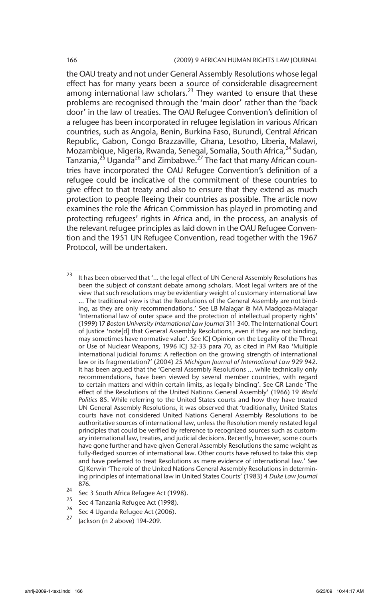the OAU treaty and not under General Assembly Resolutions whose legal effect has for many years been a source of considerable disagreement among international law scholars.<sup>23</sup> They wanted to ensure that these problems are recognised through the 'main door' rather than the 'back door' in the law of treaties. The OAU Refugee Convention's definition of a refugee has been incorporated in refugee legislation in various African countries, such as Angola, Benin, Burkina Faso, Burundi, Central African Republic, Gabon, Congo Brazzaville, Ghana, Lesotho, Liberia, Malawi, Mozambique, Nigeria, Rwanda, Senegal, Somalia, South Africa, <sup>24</sup> Sudan, Tanzania,<sup>25</sup> Uganda<sup>26</sup> and Zimbabwe.<sup>27</sup> The fact that many African countries have incorporated the OAU Refugee Convention's definition of a refugee could be indicative of the commitment of these countries to give effect to that treaty and also to ensure that they extend as much protection to people fleeing their countries as possible. The article now examines the role the African Commission has played in promoting and protecting refugees' rights in Africa and, in the process, an analysis of the relevant refugee principles as laid down in the OAU Refugee Convention and the 1951 UN Refugee Convention, read together with the 1967 Protocol, will be undertaken.

- Sec 4 Uganda Refugee Act (2006).
- Jackson (n 2 above) 194-209.

<sup>&</sup>lt;sup>23</sup> It has been observed that '... the legal effect of UN General Assembly Resolutions has been the subject of constant debate among scholars. Most legal writers are of the view that such resolutions may be evidentiary weight of customary international law ... The traditional view is that the Resolutions of the General Assembly are not binding, as they are only recommendations.' See LB Malagar & MA Madgoza-Malagar 'International law of outer space and the protection of intellectual property rights' (1999) 17 *Boston University International Law Journal* 311 340. The International Court of Justice 'note[d] that General Assembly Resolutions, even if they are not binding, may sometimes have normative value'. See ICJ Opinion on the Legality of the Threat or Use of Nuclear Weapons, 1996 ICJ 32-33 para 70, as cited in PM Rao 'Multiple international judicial forums: A reflection on the growing strength of international law or its fragmentation?' (2004) 25 *Michigan Journal of International Law* 929 942. It has been argued that the 'General Assembly Resolutions … while technically only recommendations, have been viewed by several member countries, with regard to certain matters and within certain limits, as legally binding'. See GR Lande 'The effect of the Resolutions of the United Nations General Assembly' (1966) 19 *World Politics* 85. While referring to the United States courts and how they have treated UN General Assembly Resolutions, it was observed that 'traditionally, United States courts have not considered United Nations General Assembly Resolutions to be authoritative sources of international law, unless the Resolution merely restated legal principles that could be verified by reference to recognized sources such as customary international law, treaties, and judicial decisions. Recently, however, some courts have gone further and have given General Assembly Resolutions the same weight as fully-fledged sources of international law. Other courts have refused to take this step and have preferred to treat Resolutions as mere evidence of international law.' See GJ Kerwin 'The role of the United Nations General Assembly Resolutions in determining principles of international law in United States Courts' (1983) 4 *Duke Law Journal* 876.

<sup>&</sup>lt;sup>24</sup> Sec 3 South Africa Refugee Act (1998).

<sup>&</sup>lt;sup>25</sup> Sec 4 Tanzania Refugee Act (1998).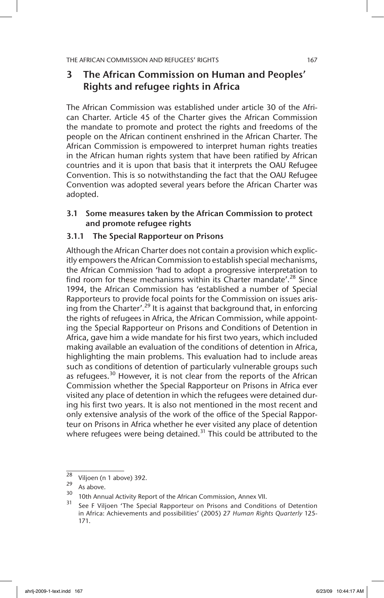## 3 The African Commission on Human and Peoples' Rights and refugee rights in Africa

The African Commission was established under article 30 of the African Charter. Article 45 of the Charter gives the African Commission the mandate to promote and protect the rights and freedoms of the people on the African continent enshrined in the African Charter. The African Commission is empowered to interpret human rights treaties in the African human rights system that have been ratified by African countries and it is upon that basis that it interprets the OAU Refugee Convention. This is so notwithstanding the fact that the OAU Refugee Convention was adopted several years before the African Charter was adopted.

## 3.1 Some measures taken by the African Commission to protect and promote refugee rights

## 3.1.1 The Special Rapporteur on Prisons

Although the African Charter does not contain a provision which explicitly empowers the African Commission to establish special mechanisms, the African Commission 'had to adopt a progressive interpretation to find room for these mechanisms within its Charter mandate'.<sup>28</sup> Since 1994, the African Commission has 'established a number of Special Rapporteurs to provide focal points for the Commission on issues arising from the Charter'.<sup>29</sup> It is against that background that, in enforcing the rights of refugees in Africa, the African Commission, while appointing the Special Rapporteur on Prisons and Conditions of Detention in Africa, gave him a wide mandate for his first two years, which included making available an evaluation of the conditions of detention in Africa, highlighting the main problems. This evaluation had to include areas such as conditions of detention of particularly vulnerable groups such as refugees.<sup>30</sup> However, it is not clear from the reports of the African Commission whether the Special Rapporteur on Prisons in Africa ever visited any place of detention in which the refugees were detained during his first two years. It is also not mentioned in the most recent and only extensive analysis of the work of the office of the Special Rapporteur on Prisons in Africa whether he ever visited any place of detention where refugees were being detained.<sup>31</sup> This could be attributed to the

 $\frac{28}{29}$  Viljoen (n 1 above) 392.

 $29$  As above.

<sup>30</sup> 10th Annual Activity Report of the African Commission, Annex VII.

See F Viljoen 'The Special Rapporteur on Prisons and Conditions of Detention in Africa: Achievements and possibilities' (2005) 27 *Human Rights Quarterly* 125- 171.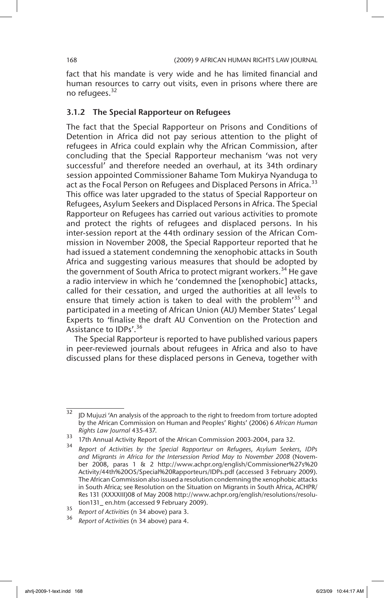fact that his mandate is very wide and he has limited financial and human resources to carry out visits, even in prisons where there are no refugees.<sup>32</sup>

### 3.1.2 The Special Rapporteur on Refugees

The fact that the Special Rapporteur on Prisons and Conditions of Detention in Africa did not pay serious attention to the plight of refugees in Africa could explain why the African Commission, after concluding that the Special Rapporteur mechanism 'was not very successful' and therefore needed an overhaul, at its 34th ordinary session appointed Commissioner Bahame Tom Mukirya Nyanduga to act as the Focal Person on Refugees and Displaced Persons in Africa.<sup>33</sup> This office was later upgraded to the status of Special Rapporteur on Refugees, Asylum Seekers and Displaced Persons in Africa. The Special Rapporteur on Refugees has carried out various activities to promote and protect the rights of refugees and displaced persons. In his inter-session report at the 44th ordinary session of the African Commission in November 2008, the Special Rapporteur reported that he had issued a statement condemning the xenophobic attacks in South Africa and suggesting various measures that should be adopted by the government of South Africa to protect migrant workers.<sup>34</sup> He gave a radio interview in which he 'condemned the [xenophobic] attacks, called for their cessation, and urged the authorities at all levels to ensure that timely action is taken to deal with the problem<sup>35</sup> and participated in a meeting of African Union (AU) Member States' Legal Experts to 'finalise the draft AU Convention on the Protection and Assistance to IDPs'.<sup>36</sup>

The Special Rapporteur is reported to have published various papers in peer-reviewed journals about refugees in Africa and also to have discussed plans for these displaced persons in Geneva, together with

 $32$  JD Mujuzi 'An analysis of the approach to the right to freedom from torture adopted by the African Commission on Human and Peoples' Rights' (2006) 6 *African Human Rights Law Journal* 435-437.

<sup>33</sup> 17th Annual Activity Report of the African Commission 2003-2004, para 32.

<sup>34</sup> *Report of Activities by the Special Rapporteur on Refugees, Asylum Seekers, IDPs and Migrants in Africa for the Intersession Period May to November 2008* (November 2008, paras 1 & 2 http://www.achpr.org/english/Commissioner%27s%20 Activity/44th%20OS/Special%20Rapporteurs/IDPs.pdf (accessed 3 February 2009). The African Commission also issued a resolution condemning the xenophobic attacks in South Africa; see Resolution on the Situation on Migrants in South Africa, ACHPR/ Res 131 (XXXXIII)08 of May 2008 http://www.achpr.org/english/resolutions/resolution131\_ en.htm (accessed 9 February 2009).

<sup>35</sup> *Report of Activities* (n 34 above) para 3.

<sup>36</sup> *Report of Activities* (n 34 above) para 4.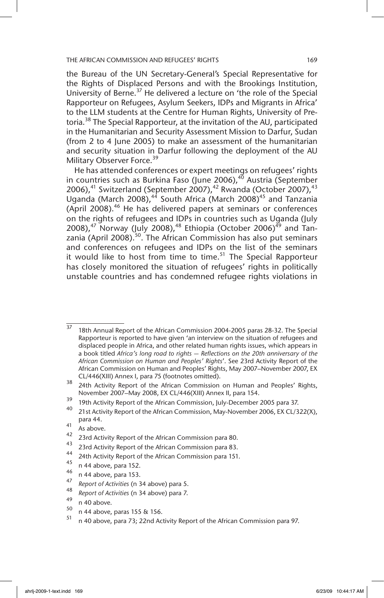the Bureau of the UN Secretary-General's Special Representative for the Rights of Displaced Persons and with the Brookings Institution, University of Berne.<sup>37</sup> He delivered a lecture on 'the role of the Special Rapporteur on Refugees, Asylum Seekers, IDPs and Migrants in Africa' to the LLM students at the Centre for Human Rights, University of Pretoria.<sup>38</sup> The Special Rapporteur, at the invitation of the AU, participated in the Humanitarian and Security Assessment Mission to Darfur, Sudan (from 2 to 4 June 2005) to make an assessment of the humanitarian and security situation in Darfur following the deployment of the AU Military Observer Force.<sup>39</sup>

He has attended conferences or expert meetings on refugees' rights in countries such as Burkina Faso (June 2006),<sup>40</sup> Austria (September 2006), $41$  Switzerland (September 2007), $42$  Rwanda (October 2007), $43$ Uganda (March 2008), $44$  South Africa (March 2008)<sup>45</sup> and Tanzania (April 2008).<sup>46</sup> He has delivered papers at seminars or conferences on the rights of refugees and IDPs in countries such as Uganda (July 2008), $47$  Norway (July 2008), $48$  Ethiopia (October 2006) $49$  and Tanzania (April 2008).<sup>50</sup>. The African Commission has also put seminars and conferences on refugees and IDPs on the list of the seminars it would like to host from time to time.<sup>51</sup> The Special Rapporteur has closely monitored the situation of refugees' rights in politically unstable countries and has condemned refugee rights violations in

<sup>37</sup> 18th Annual Report of the African Commission 2004-2005 paras 28-32. The Special Rapporteur is reported to have given 'an interview on the situation of refugees and displaced people in Africa, and other related human rights issues, which appears in a book titled *Africa's long road to rights — Reflections on the 20th anniversary of the African Commission on Human and Peoples' Rights*'. See 23rd Activity Report of the African Commission on Human and Peoples' Rights, May 2007–November 2007, EX CL/446(XIII) Annex I, para 75 (footnotes omitted).

<sup>38 24</sup>th Activity Report of the African Commission on Human and Peoples' Rights, November 2007–May 2008, EX CL/446(XIII) Annex II, para 154.

<sup>&</sup>lt;sup>39</sup> 19th Activity Report of the African Commission, July-December 2005 para 37.

<sup>21</sup>st Activity Report of the African Commission, May-November 2006, EX CL/322(X), para 44.

 $\begin{bmatrix} 41 \\ 42 \\ 22 \end{bmatrix}$  As above.

<sup>&</sup>lt;sup>42</sup> 23rd Activity Report of the African Commission para 80.

<sup>&</sup>lt;sup>43</sup> 23rd Activity Report of the African Commission para 83.

<sup>&</sup>lt;sup>44</sup> 24th Activity Report of the African Commission para 151.

 $^{45}$  n 44 above, para 152.

 $^{46}$  n 44 above, para 153.

<sup>47</sup> *Report of Activities* (n 34 above) para 5.

<sup>48</sup> *Report of Activities* (n 34 above) para 7.

 $^{49}$  n 40 above.

 $^{50}$  n 44 above, paras 155 & 156.

<sup>51</sup> n 40 above, para 73; 22nd Activity Report of the African Commission para 97.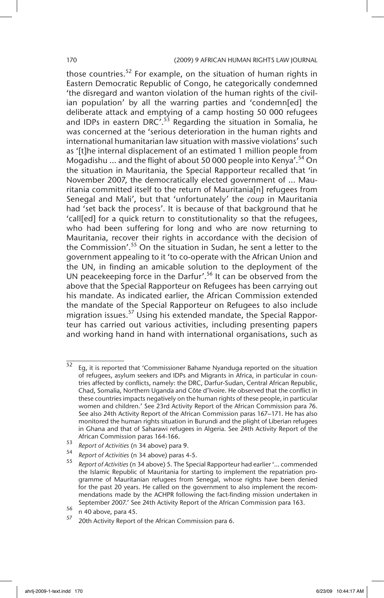those countries.<sup>52</sup> For example, on the situation of human rights in Eastern Democratic Republic of Congo, he categorically condemned 'the disregard and wanton violation of the human rights of the civilian population' by all the warring parties and 'condemn[ed] the deliberate attack and emptying of a camp hosting 50 000 refugees and IDPs in eastern DRC<sup> $\cdot$ , 53</sup> Regarding the situation in Somalia, he was concerned at the 'serious deterioration in the human rights and international humanitarian law situation with massive violations' such as '[t]he internal displacement of an estimated 1 million people from Mogadishu  $\ldots$  and the flight of about 50 000 people into Kenya'.<sup>54</sup> On the situation in Mauritania, the Special Rapporteur recalled that 'in November 2007, the democratically elected government of ... Mauritania committed itself to the return of Mauritania[n] refugees from Senegal and Mali', but that 'unfortunately' the *coup* in Mauritania had 'set back the process'. It is because of that background that he 'call[ed] for a quick return to constitutionality so that the refugees, who had been suffering for long and who are now returning to Mauritania, recover their rights in accordance with the decision of the Commission'.<sup>55</sup> On the situation in Sudan, he sent a letter to the government appealing to it 'to co-operate with the African Union and the UN, in finding an amicable solution to the deployment of the UN peacekeeping force in the Darfur'.<sup>56</sup> It can be observed from the above that the Special Rapporteur on Refugees has been carrying out his mandate. As indicated earlier, the African Commission extended the mandate of the Special Rapporteur on Refugees to also include migration issues.<sup>57</sup> Using his extended mandate, the Special Rapporteur has carried out various activities, including presenting papers and working hand in hand with international organisations, such as

- <sup>53</sup> *Report of Activities* (n 34 above) para 9.
- <sup>54</sup> *Report of Activities* (n 34 above) paras 4-5.

 $52$  Eg, it is reported that 'Commissioner Bahame Nyanduga reported on the situation of refugees, asylum seekers and IDPs and Migrants in Africa, in particular in countries affected by conflicts, namely: the DRC, Darfur-Sudan, Central African Republic, Chad, Somalia, Northern Uganda and Côte d'Ivoire. He observed that the conflict in these countries impacts negatively on the human rights of these people, in particular women and children.' See 23rd Activity Report of the African Commission para 76. See also 24th Activity Report of the African Commission paras 167–171. He has also monitored the human rights situation in Burundi and the plight of Liberian refugees in Ghana and that of Saharawi refugees in Algeria. See 24th Activity Report of the African Commission paras 164-166.

<sup>55</sup> *Report of Activities* (n 34 above) 5. The Special Rapporteur had earlier '… commended the Islamic Republic of Mauritania for starting to implement the repatriation programme of Mauritanian refugees from Senegal, whose rights have been denied for the past 20 years. He called on the government to also implement the recommendations made by the ACHPR following the fact-finding mission undertaken in September 2007.' See 24th Activity Report of the African Commission para 163.

 $56$  n 40 above, para 45.

<sup>20</sup>th Activity Report of the African Commission para 6.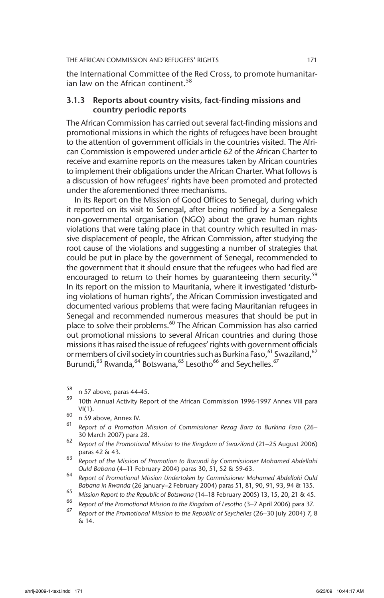the International Committee of the Red Cross, to promote humanitarian law on the African continent.<sup>58</sup>

### 3.1.3 Reports about country visits, fact-finding missions and country periodic reports

The African Commission has carried out several fact-finding missions and promotional missions in which the rights of refugees have been brought to the attention of government officials in the countries visited. The African Commission is empowered under article 62 of the African Charter to receive and examine reports on the measures taken by African countries to implement their obligations under the African Charter. What follows is a discussion of how refugees' rights have been promoted and protected under the aforementioned three mechanisms.

In its Report on the Mission of Good Offices to Senegal, during which it reported on its visit to Senegal, after being notified by a Senegalese non-governmental organisation (NGO) about the grave human rights violations that were taking place in that country which resulted in massive displacement of people, the African Commission, after studying the root cause of the violations and suggesting a number of strategies that could be put in place by the government of Senegal, recommended to the government that it should ensure that the refugees who had fled are encouraged to return to their homes by quaranteeing them security.<sup>59</sup> In its report on the mission to Mauritania, where it investigated 'disturbing violations of human rights', the African Commission investigated and documented various problems that were facing Mauritanian refugees in Senegal and recommended numerous measures that should be put in place to solve their problems.<sup>60</sup> The African Commission has also carried out promotional missions to several African countries and during those missions it has raised the issue of refugees' rights with government officials or members of civil society in countries such as Burkina Faso,  $61$  Swaziland,  $62$ Burundi,<sup>63</sup> Rwanda,<sup>64</sup> Botswana,<sup>65</sup> Lesotho<sup>66</sup> and Seychelles.<sup>67</sup>

 $^{58}$  n 57 above, paras 44-45.

<sup>10</sup>th Annual Activity Report of the African Commission 1996-1997 Annex VIII para  $VI(1)$ .

 $\begin{bmatrix} 60 \\ 61 \end{bmatrix}$  n 59 above, Annex IV.

<sup>61</sup> *Report of a Promotion Mission of Commissioner Rezag Bara to Burkina Faso* (26– 30 March 2007) para 28.

<sup>62</sup> *Report of the Promotional Mission to the Kingdom of Swaziland* (21–25 August 2006) paras 42 & 43.

<sup>63</sup> *Report of the Mission of Promotion to Burundi by Commissioner Mohamed Abdellahi Ould Babana* (4–11 February 2004) paras 30, 51, 52 & 59-63.

<sup>64</sup> *Report of Promotional Mission Undertaken by Commissioner Mohamed Abdellahi Ould Babana in Rwanda* (26 January–2 February 2004) paras 51, 81, 90, 91, 93, 94 & 135.

<sup>65</sup> *Mission Report to the Republic of Botswana* (14–18 February 2005) 13, 15, 20, 21 & 45.

<sup>66</sup> *Report of the Promotional Mission to the Kingdom of Lesotho* (3–7 April 2006) para 37.

<sup>67</sup> *Report of the Promotional Mission to the Republic of Seychelles* (26–30 July 2004) 7, 8  $\overline{\delta}$  14.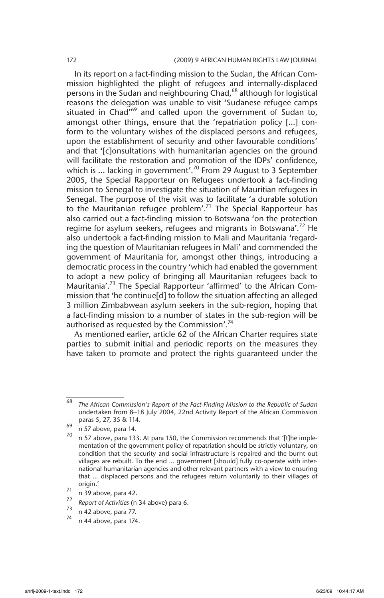In its report on a fact-finding mission to the Sudan, the African Commission highlighted the plight of refugees and internally-displaced persons in the Sudan and neighbouring Chad,<sup>68</sup> although for logistical reasons the delegation was unable to visit 'Sudanese refugee camps situated in Chad<sup> $69$ </sup> and called upon the government of Sudan to, amongst other things, ensure that the 'repatriation policy […] conform to the voluntary wishes of the displaced persons and refugees, upon the establishment of security and other favourable conditions' and that '[c]onsultations with humanitarian agencies on the ground will facilitate the restoration and promotion of the IDPs' confidence, which is ... lacking in government'.<sup>70</sup> From 29 August to 3 September 2005, the Special Rapporteur on Refugees undertook a fact-finding mission to Senegal to investigate the situation of Mauritian refugees in Senegal. The purpose of the visit was to facilitate 'a durable solution to the Mauritanian refugee problem'.<sup>71</sup> The Special Rapporteur has also carried out a fact-finding mission to Botswana 'on the protection regime for asylum seekers, refugees and migrants in Botswana'.<sup>72</sup> He also undertook a fact-finding mission to Mali and Mauritania 'regarding the question of Mauritanian refugees in Mali' and commended the government of Mauritania for, amongst other things, introducing a democratic process in the country 'which had enabled the government to adopt a new policy of bringing all Mauritanian refugees back to Mauritania'.<sup>73</sup> The Special Rapporteur 'affirmed' to the African Commission that 'he continue[d] to follow the situation affecting an alleged 3 million Zimbabwean asylum seekers in the sub-region, hoping that a fact-finding mission to a number of states in the sub-region will be authorised as requested by the Commission'.<sup>74</sup>

As mentioned earlier, article 62 of the African Charter requires state parties to submit initial and periodic reports on the measures they have taken to promote and protect the rights guaranteed under the

<sup>68</sup> *The African Commission's Report of the Fact-Finding Mission to the Republic of Sudan* undertaken from 8–18 July 2004, 22nd Activity Report of the African Commission paras 5, 27, 35 & 114.

 $^{69}$  n 57 above, para 14.

n 57 above, para 133. At para 150, the Commission recommends that '[t]he implementation of the government policy of repatriation should be strictly voluntary, on condition that the security and social infrastructure is repaired and the burnt out villages are rebuilt. To the end … government [should] fully co-operate with international humanitarian agencies and other relevant partners with a view to ensuring that … displaced persons and the refugees return voluntarily to their villages of origin.'

 $\frac{71}{72}$  n 39 above, para 42.

<sup>72</sup> *Report of Activities* (n 34 above) para 6.

n 42 above, para 77.

n 44 above, para 174.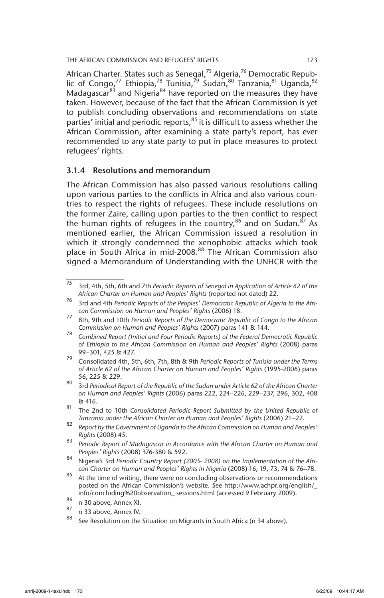African Charter. States such as Senegal,<sup>75</sup> Algeria,<sup>76</sup> Democratic Republic of Congo,<sup>77</sup> Ethiopia,<sup>78</sup> Tunisia,<sup>79</sup> Sudan,<sup>80</sup> Tanzania,<sup>81</sup> Uganda,<sup>82</sup> Madagascar $^{83}$  and Nigeria $^{84}$  have reported on the measures they have taken. However, because of the fact that the African Commission is yet to publish concluding observations and recommendations on state parties' initial and periodic reports,<sup>85</sup> it is difficult to assess whether the African Commission, after examining a state party's report, has ever recommended to any state party to put in place measures to protect refugees' rights.

## 3.1.4 Resolutions and memorandum

The African Commission has also passed various resolutions calling upon various parties to the conflicts in Africa and also various countries to respect the rights of refugees. These include resolutions on the former Zaire, calling upon parties to the then conflict to respect the human rights of refugees in the country,  $86$  and on Sudan.  $87$  As mentioned earlier, the African Commission issued a resolution in which it strongly condemned the xenophobic attacks which took place in South Africa in mid-2008.<sup>88</sup> The African Commission also signed a Memorandum of Understanding with the UNHCR with the

<sup>75</sup> 3rd, 4th, 5th, 6th and 7th *Periodic Reports of Senegal in Application of Article 62 of the African Charter on Human and Peoples' Rights* (reported not dated) 22.

<sup>76</sup> 3rd and 4th *Periodic Reports of the Peoples' Democratic Republic of Algeria to the African Commission on Human and Peoples' Rights* (2006) 18.

<sup>77</sup> 8th, 9th and 10th *Periodic Reports of the Democratic Republic of Congo to the African Commission on Human and Peoples' Rights* (2007) paras 141 & 144.

<sup>78</sup> *Combined Report (Initial and Four Periodic Reports) of the Federal Democratic Republic of Ethiopia to the African Commission on Human and Peoples' Rights* (2008) paras 99–301, 425 & 427.

<sup>79</sup> Consolidated 4th, 5th, 6th, 7th, 8th & 9th *Periodic Reports of Tunisia under the Terms of Article 62 of the African Charter on Human and Peoples' Rights* (1995-2006) paras 56, 225 & 229.

<sup>80</sup> 3rd *Periodical Report of the Republic of the Sudan under Article 62 of the African Charter on Human and Peoples' Rights* (2006) paras 222, 224–226, 229–237, 296, 302, 408 & 416.

<sup>81</sup> The 2nd to 10th *Consolidated Periodic Report Submitted by the United Republic of Tanzania under the African Charter on Human and Peoples' Rights* (2006) 21–22.

<sup>82</sup> *Report by the Government of Uganda to the African Commission on Human and Peoples' Rights* (2008) 45.

<sup>83</sup> *Periodic Report of Madagascar in Accordance with the African Charter on Human and Peoples' Rights* (2008) 376-380 & 592.

<sup>84</sup> Nigeria's 3rd *Periodic Country Report (2005- 2008) on the Implementation of the African Charter on Human and Peoples' Rights in Nigeria* (2008) 16, 19, 73, 74 & 76–78.

<sup>85</sup> At the time of writing, there were no concluding observations or recommendations posted on the African Commission's website. See http://www.achpr.org/english/\_ info/concluding%20observation\_ sessions.html (accessed 9 February 2009).

 $\frac{86}{87}$  n 30 above, Annex XI.

 $^{87}$  n 33 above, Annex IV.

See Resolution on the Situation on Migrants in South Africa (n 34 above).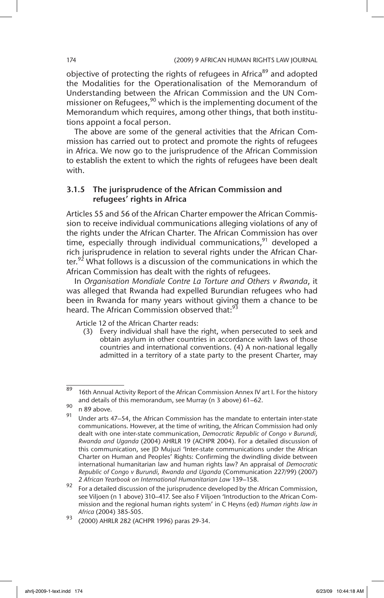objective of protecting the rights of refugees in Africa<sup>89</sup> and adopted the Modalities for the Operationalisation of the Memorandum of Understanding between the African Commission and the UN Commissioner on Refugees,  $90$  which is the implementing document of the Memorandum which requires, among other things, that both institutions appoint a focal person.

The above are some of the general activities that the African Commission has carried out to protect and promote the rights of refugees in Africa. We now go to the jurisprudence of the African Commission to establish the extent to which the rights of refugees have been dealt with.

## 3.1.5 The jurisprudence of the African Commission and refugees' rights in Africa

Articles 55 and 56 of the African Charter empower the African Commission to receive individual communications alleging violations of any of the rights under the African Charter. The African Commission has over time, especially through individual communications,<sup>91</sup> developed a rich jurisprudence in relation to several rights under the African Charter.<sup>92</sup> What follows is a discussion of the communications in which the African Commission has dealt with the rights of refugees.

In *Organisation Mondiale Contre La Torture and Others v Rwanda*, it was alleged that Rwanda had expelled Burundian refugees who had been in Rwanda for many years without giving them a chance to be heard. The African Commission observed that:<sup>93</sup>

Article 12 of the African Charter reads:

 (3) Every individual shall have the right, when persecuted to seek and obtain asylum in other countries in accordance with laws of those countries and international conventions. (4) A non-national legally admitted in a territory of a state party to the present Charter, may

 $\frac{89}{16}$  16th Annual Activity Report of the African Commission Annex IV art I. For the history and details of this memorandum, see Murray (n 3 above) 61–62.

 $\frac{90}{91}$  n 89 above.

Under arts 47–54, the African Commission has the mandate to entertain inter-state communications. However, at the time of writing, the African Commission had only dealt with one inter-state communication, *Democratic Republic of Congo v Burundi, Rwanda and Uganda* (2004) AHRLR 19 (ACHPR 2004). For a detailed discussion of this communication, see JD Mujuzi 'Inter-state communications under the African Charter on Human and Peoples' Rights: Confirming the dwindling divide between international humanitarian law and human rights law? An appraisal of *Democratic Republic of Congo v Burundi, Rwanda and Uganda* (Communication 227/99) (2007) 2 *African Yearbook on International Humanitarian Law* 139–158.

 $92$  For a detailed discussion of the jurisprudence developed by the African Commission, see Viljoen (n 1 above) 310–417. See also F Viljoen 'Introduction to the African Commission and the regional human rights system' in C Heyns (ed) *Human rights law in Africa* (2004) 385-505.

<sup>93</sup> (2000) AHRLR 282 (ACHPR 1996) paras 29-34.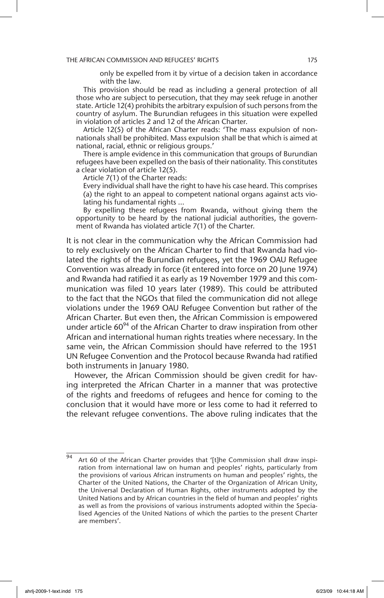only be expelled from it by virtue of a decision taken in accordance with the law.

This provision should be read as including a general protection of all those who are subject to persecution, that they may seek refuge in another state. Article 12(4) prohibits the arbitrary expulsion of such persons from the country of asylum. The Burundian refugees in this situation were expelled in violation of articles 2 and 12 of the African Charter.

Article 12(5) of the African Charter reads: 'The mass expulsion of nonnationals shall be prohibited. Mass expulsion shall be that which is aimed at national, racial, ethnic or religious groups.'

There is ample evidence in this communication that groups of Burundian refugees have been expelled on the basis of their nationality. This constitutes a clear violation of article 12(5).

Article 7(1) of the Charter reads:

 Every individual shall have the right to have his case heard. This comprises (a) the right to an appeal to competent national organs against acts violating his fundamental rights ...

By expelling these refugees from Rwanda, without giving them the opportunity to be heard by the national judicial authorities, the government of Rwanda has violated article 7(1) of the Charter.

It is not clear in the communication why the African Commission had to rely exclusively on the African Charter to find that Rwanda had violated the rights of the Burundian refugees, yet the 1969 OAU Refugee Convention was already in force (it entered into force on 20 June 1974) and Rwanda had ratified it as early as 19 November 1979 and this communication was filed 10 years later (1989). This could be attributed to the fact that the NGOs that filed the communication did not allege violations under the 1969 OAU Refugee Convention but rather of the African Charter. But even then, the African Commission is empowered under article  $60^{94}$  of the African Charter to draw inspiration from other African and international human rights treaties where necessary. In the same vein, the African Commission should have referred to the 1951 UN Refugee Convention and the Protocol because Rwanda had ratified both instruments in January 1980.

However, the African Commission should be given credit for having interpreted the African Charter in a manner that was protective of the rights and freedoms of refugees and hence for coming to the conclusion that it would have more or less come to had it referred to the relevant refugee conventions. The above ruling indicates that the

Art 60 of the African Charter provides that '[t]he Commission shall draw inspiration from international law on human and peoples' rights, particularly from the provisions of various African instruments on human and peoples' rights, the Charter of the United Nations, the Charter of the Organization of African Unity, the Universal Declaration of Human Rights, other instruments adopted by the United Nations and by African countries in the field of human and peoples' rights as well as from the provisions of various instruments adopted within the Specialised Agencies of the United Nations of which the parties to the present Charter are members'.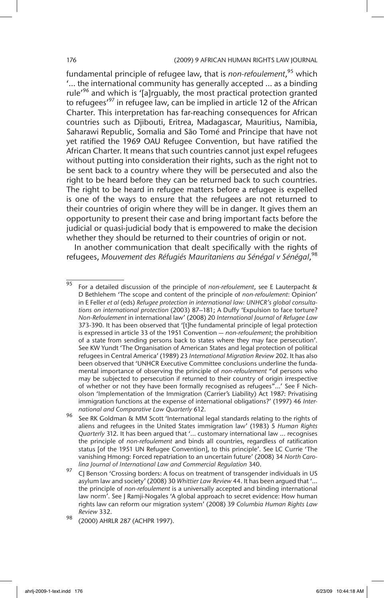#### 176 (2009) 9 AFRICAN HUMAN RIGHTS LAW JOURNAL

fundamental principle of refugee law, that is *non-refoulement*, 95 which '… the international community has generally accepted … as a binding rule<sup>'96</sup> and which is '[a]rquably, the most practical protection granted to refugees<sup>'97</sup> in refugee law, can be implied in article 12 of the African Charter. This interpretation has far-reaching consequences for African countries such as Djibouti, Eritrea, Madagascar, Mauritius, Namibia, Saharawi Republic, Somalia and São Tomé and Principe that have not yet ratified the 1969 OAU Refugee Convention, but have ratified the African Charter. It means that such countries cannot just expel refugees without putting into consideration their rights, such as the right not to be sent back to a country where they will be persecuted and also the right to be heard before they can be returned back to such countries. The right to be heard in refugee matters before a refugee is expelled is one of the ways to ensure that the refugees are not returned to their countries of origin where they will be in danger. It gives them an opportunity to present their case and bring important facts before the judicial or quasi-judicial body that is empowered to make the decision whether they should be returned to their countries of origin or not.

In another communication that dealt specifically with the rights of refugees, *Mouvement des Réfugiés Mauritaniens au Sénégal v Sénégal*, 98

<sup>95</sup> For a detailed discussion of the principle of *non-refoulement*, see E Lauterpacht & D Bethlehem 'The scope and content of the principle of *non-refoulement*: Opinion' in E Feller *et al* (eds) *Refugee protection in international law: UNHCR's global consultations on international protection* (2003) 87–181; A Duffy 'Expulsion to face torture? *Non-Refoulement* in international law' (2008) 20 *International Journal of Refugee Law* 373-390. It has been observed that '[t]he fundamental principle of legal protection is expressed in article 33 of the 1951 Convention — *non-refoulement*; the prohibition of a state from sending persons back to states where they may face persecution'. See KW Yundt 'The Organisation of American States and legal protection of political refugees in Central America' (1989) 23 *International Migration Review* 202. It has also been observed that 'UNHCR Executive Committee conclusions underline the fundamental importance of observing the principle of *non-refoulement* "of persons who may be subjected to persecution if returned to their country of origin irrespective of whether or not they have been formally recognised as refugees"…' See F Nicholson 'Implementation of the Immigration (Carrier's Liability) Act 1987: Privatising immigration functions at the expense of international obligations?' (1997) 46 *International and Comparative Law Quarterly* 612.

<sup>96</sup> See RK Goldman & MM Scott 'International legal standards relating to the rights of aliens and refugees in the United States immigration law' (1983) 5 *Human Rights Quarterly* 312. It has been argued that '... customary international law ... recognises the principle of *non-refoulement* and binds all countries, regardless of ratification status [of the 1951 UN Refugee Convention], to this principle'. See LC Currie 'The vanishing Hmong: Forced repatriation to an uncertain future' (2008) 34 *North Carolina Journal of International Law and Commercial Regulation* 340.

CJ Benson 'Crossing borders: A focus on treatment of transgender individuals in US asylum law and society' (2008) 30 *Whittier Law Review* 44. It has been argued that '… the principle of *non-refoulement* is a universally accepted and binding international law norm'. See J Ramji-Nogales 'A global approach to secret evidence: How human rights law can reform our migration system' (2008) 39 *Columbia Human Rights Law Review* 332.

<sup>98</sup> (2000) AHRLR 287 (ACHPR 1997).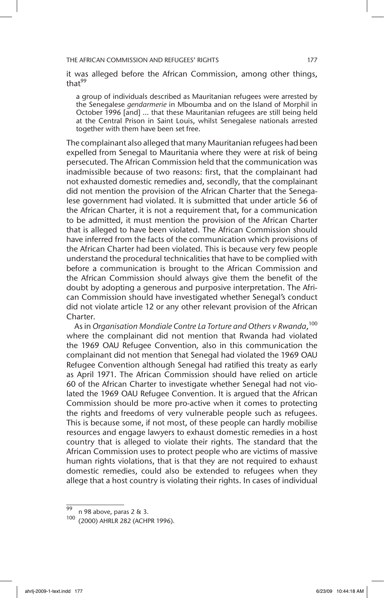it was alleged before the African Commission, among other things, that<sup>99</sup>

a group of individuals described as Mauritanian refugees were arrested by the Senegalese *gendarmerie* in Mboumba and on the Island of Morphil in October 1996 [and] … that these Mauritanian refugees are still being held at the Central Prison in Saint Louis, whilst Senegalese nationals arrested together with them have been set free.

The complainant also alleged that many Mauritanian refugees had been expelled from Senegal to Mauritania where they were at risk of being persecuted. The African Commission held that the communication was inadmissible because of two reasons: first, that the complainant had not exhausted domestic remedies and, secondly, that the complainant did not mention the provision of the African Charter that the Senegalese government had violated. It is submitted that under article 56 of the African Charter, it is not a requirement that, for a communication to be admitted, it must mention the provision of the African Charter that is alleged to have been violated. The African Commission should have inferred from the facts of the communication which provisions of the African Charter had been violated. This is because very few people understand the procedural technicalities that have to be complied with before a communication is brought to the African Commission and the African Commission should always give them the benefit of the doubt by adopting a generous and purposive interpretation. The African Commission should have investigated whether Senegal's conduct did not violate article 12 or any other relevant provision of the African Charter.

As in Organisation Mondiale Contre La Torture and Others v Rwanda,<sup>100</sup> where the complainant did not mention that Rwanda had violated the 1969 OAU Refugee Convention*,* also in this communication the complainant did not mention that Senegal had violated the 1969 OAU Refugee Convention although Senegal had ratified this treaty as early as April 1971. The African Commission should have relied on article 60 of the African Charter to investigate whether Senegal had not violated the 1969 OAU Refugee Convention. It is argued that the African Commission should be more pro-active when it comes to protecting the rights and freedoms of very vulnerable people such as refugees. This is because some, if not most, of these people can hardly mobilise resources and engage lawyers to exhaust domestic remedies in a host country that is alleged to violate their rights. The standard that the African Commission uses to protect people who are victims of massive human rights violations, that is that they are not required to exhaust domestic remedies, could also be extended to refugees when they allege that a host country is violating their rights. In cases of individual

<sup>99</sup> n 98 above, paras 2 & 3.

<sup>100</sup> (2000) AHRLR 282 (ACHPR 1996).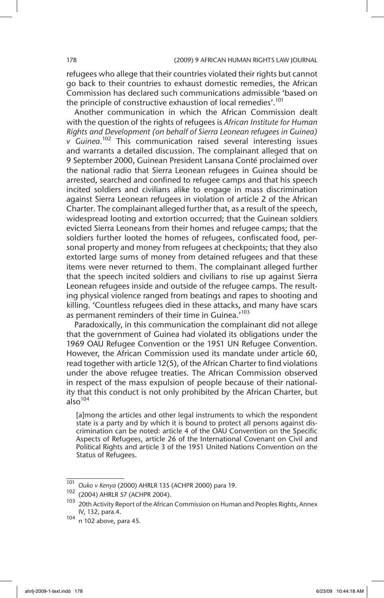refugees who allege that their countries violated their rights but cannot go back to their countries to exhaust domestic remedies, the African Commission has declared such communications admissible 'based on the principle of constructive exhaustion of local remedies'.<sup>101</sup>

Another communication in which the African Commission dealt with the question of the rights of refugees is *African Institute for Human Rights and Development (on behalf of Sierra Leonean refugees in Guinea) v Guinea.*<sup>102</sup> This communication raised several interesting issues and warrants a detailed discussion. The complainant alleged that on 9 September 2000, Guinean President Lansana Conté proclaimed over the national radio that Sierra Leonean refugees in Guinea should be arrested, searched and confined to refugee camps and that his speech incited soldiers and civilians alike to engage in mass discrimination against Sierra Leonean refugees in violation of article 2 of the African Charter. The complainant alleged further that, as a result of the speech, widespread looting and extortion occurred; that the Guinean soldiers evicted Sierra Leoneans from their homes and refugee camps; that the soldiers further looted the homes of refugees, confiscated food, personal property and money from refugees at checkpoints; that they also extorted large sums of money from detained refugees and that these items were never returned to them. The complainant alleged further that the speech incited soldiers and civilians to rise up against Sierra Leonean refugees inside and outside of the refugee camps. The resulting physical violence ranged from beatings and rapes to shooting and killing. 'Countless refugees died in these attacks, and many have scars as permanent reminders of their time in Guinea.<sup>'103</sup>

Paradoxically, in this communication the complainant did not allege that the government of Guinea had violated its obligations under the 1969 OAU Refugee Convention or the 1951 UN Refugee Convention. However, the African Commission used its mandate under article 60, read together with article 12(5), of the African Charter to find violations under the above refugee treaties. The African Commission observed in respect of the mass expulsion of people because of their nationality that this conduct is not only prohibited by the African Charter, but  $a<sup>104</sup>$ 

[a]mong the articles and other legal instruments to which the respondent state is a party and by which it is bound to protect all persons against discrimination can be noted: article 4 of the OAU Convention on the Specific Aspects of Refugees, article 26 of the International Covenant on Civil and Political Rights and article 3 of the 1951 United Nations Convention on the Status of Refugees.

<sup>101</sup> *Ouko v Kenya* (2000) AHRLR 135 (ACHPR 2000) para 19.

<sup>102</sup> (2004) AHRLR 57 (ACHPR 2004).

<sup>&</sup>lt;sup>103</sup> 20th Activity Report of the African Commission on Human and Peoples Rights, Annex IV, 132, para.4.

<sup>104</sup> n 102 above, para 45.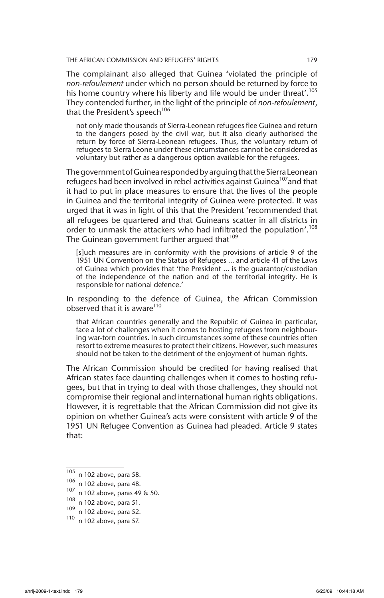The complainant also alleged that Guinea 'violated the principle of *non-refoulement* under which no person should be returned by force to his home country where his liberty and life would be under threat'.<sup>105</sup> They contended further, in the light of the principle of *non-refoulement*, that the President's speech<sup>106</sup>

not only made thousands of Sierra-Leonean refugees flee Guinea and return to the dangers posed by the civil war, but it also clearly authorised the return by force of Sierra-Leonean refugees. Thus, the voluntary return of refugees to Sierra Leone under these circumstances cannot be considered as voluntary but rather as a dangerous option available for the refugees.

The government of Guinea responded by arguing that the Sierra Leonean refugees had been involved in rebel activities against Guinea<sup>107</sup>and that it had to put in place measures to ensure that the lives of the people in Guinea and the territorial integrity of Guinea were protected. It was urged that it was in light of this that the President 'recommended that all refugees be quartered and that Guineans scatter in all districts in order to unmask the attackers who had infiltrated the population'.<sup>108</sup> The Guinean government further arqued that<sup>109</sup>

[s]uch measures are in conformity with the provisions of article 9 of the 1951 UN Convention on the Status of Refugees … and article 41 of the Laws of Guinea which provides that 'the President … is the guarantor/custodian of the independence of the nation and of the territorial integrity. He is responsible for national defence.'

In responding to the defence of Guinea, the African Commission observed that it is aware $110$ 

that African countries generally and the Republic of Guinea in particular, face a lot of challenges when it comes to hosting refugees from neighbouring war-torn countries. In such circumstances some of these countries often resort to extreme measures to protect their citizens. However, such measures should not be taken to the detriment of the enjoyment of human rights.

The African Commission should be credited for having realised that African states face daunting challenges when it comes to hosting refugees, but that in trying to deal with those challenges, they should not compromise their regional and international human rights obligations. However, it is regrettable that the African Commission did not give its opinion on whether Guinea's acts were consistent with article 9 of the 1951 UN Refugee Convention as Guinea had pleaded. Article 9 states that:

 $\overline{105}$  n 102 above, para 58.

 $\frac{106}{107}$  n 102 above, para 48.<br> $\frac{107}{107}$  n 102 above, paras 49

<sup>107</sup> n 102 above, paras 49 & 50.

<sup>108</sup> n 102 above, para 51.

<sup>109</sup> n 102 above, para 52.

<sup>110</sup> n 102 above, para 57.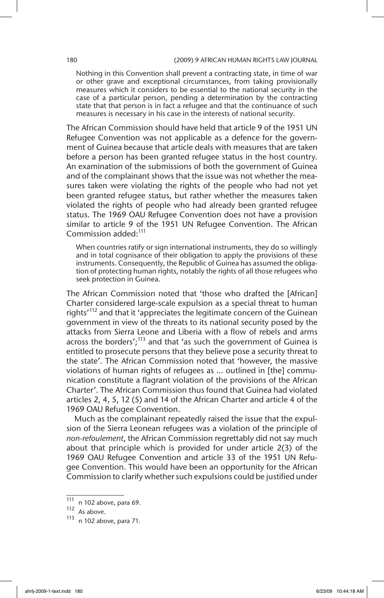Nothing in this Convention shall prevent a contracting state, in time of war or other grave and exceptional circumstances, from taking provisionally measures which it considers to be essential to the national security in the case of a particular person, pending a determination by the contracting state that that person is in fact a refugee and that the continuance of such measures is necessary in his case in the interests of national security.

The African Commission should have held that article 9 of the 1951 UN Refugee Convention was not applicable as a defence for the government of Guinea because that article deals with measures that are taken before a person has been granted refugee status in the host country. An examination of the submissions of both the government of Guinea and of the complainant shows that the issue was not whether the measures taken were violating the rights of the people who had not yet been granted refugee status, but rather whether the measures taken violated the rights of people who had already been granted refugee status. The 1969 OAU Refugee Convention does not have a provision similar to article 9 of the 1951 UN Refugee Convention. The African Commission added:<sup>111</sup>

When countries ratify or sign international instruments, they do so willingly and in total cognisance of their obligation to apply the provisions of these instruments. Consequently, the Republic of Guinea has assumed the obligation of protecting human rights, notably the rights of all those refugees who seek protection in Guinea.

The African Commission noted that 'those who drafted the [African] Charter considered large-scale expulsion as a special threat to human rights<sup>'112</sup> and that it 'appreciates the legitimate concern of the Guinean government in view of the threats to its national security posed by the attacks from Sierra Leone and Liberia with a flow of rebels and arms across the borders';<sup>113</sup> and that 'as such the government of Guinea is entitled to prosecute persons that they believe pose a security threat to the state'. The African Commission noted that 'however, the massive violations of human rights of refugees as … outlined in [the] communication constitute a flagrant violation of the provisions of the African Charter'. The African Commission thus found that Guinea had violated articles 2, 4, 5, 12 (5) and 14 of the African Charter and article 4 of the 1969 OAU Refugee Convention.

Much as the complainant repeatedly raised the issue that the expulsion of the Sierra Leonean refugees was a violation of the principle of *non-refoulement*, the African Commission regrettably did not say much about that principle which is provided for under article 2(3) of the 1969 OAU Refugee Convention and article 33 of the 1951 UN Refugee Convention. This would have been an opportunity for the African Commission to clarify whether such expulsions could be justified under

 $\overline{111}$  n 102 above, para 69.

 $112$  As above.

<sup>113</sup> n 102 above, para 71.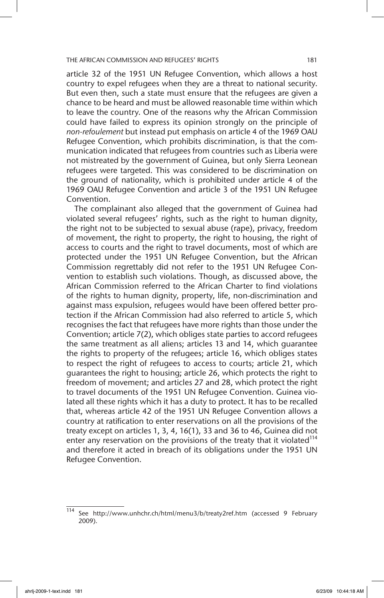article 32 of the 1951 UN Refugee Convention, which allows a host country to expel refugees when they are a threat to national security. But even then, such a state must ensure that the refugees are given a chance to be heard and must be allowed reasonable time within which to leave the country. One of the reasons why the African Commission could have failed to express its opinion strongly on the principle of *non-refoulement* but instead put emphasis on article 4 of the 1969 OAU Refugee Convention, which prohibits discrimination, is that the communication indicated that refugees from countries such as Liberia were not mistreated by the government of Guinea, but only Sierra Leonean refugees were targeted. This was considered to be discrimination on the ground of nationality, which is prohibited under article 4 of the 1969 OAU Refugee Convention and article 3 of the 1951 UN Refugee Convention.

The complainant also alleged that the government of Guinea had violated several refugees' rights, such as the right to human dignity, the right not to be subjected to sexual abuse (rape), privacy, freedom of movement, the right to property, the right to housing, the right of access to courts and the right to travel documents, most of which are protected under the 1951 UN Refugee Convention, but the African Commission regrettably did not refer to the 1951 UN Refugee Convention to establish such violations. Though, as discussed above, the African Commission referred to the African Charter to find violations of the rights to human dignity, property, life, non-discrimination and against mass expulsion, refugees would have been offered better protection if the African Commission had also referred to article 5, which recognises the fact that refugees have more rights than those under the Convention; article 7(2), which obliges state parties to accord refugees the same treatment as all aliens; articles 13 and 14, which guarantee the rights to property of the refugees; article 16, which obliges states to respect the right of refugees to access to courts; article 21, which guarantees the right to housing; article 26, which protects the right to freedom of movement; and articles 27 and 28, which protect the right to travel documents of the 1951 UN Refugee Convention. Guinea violated all these rights which it has a duty to protect. It has to be recalled that, whereas article 42 of the 1951 UN Refugee Convention allows a country at ratification to enter reservations on all the provisions of the treaty except on articles 1, 3, 4, 16(1), 33 and 36 to 46, Guinea did not enter any reservation on the provisions of the treaty that it violated $114$ and therefore it acted in breach of its obligations under the 1951 UN Refugee Convention.

<sup>114</sup> See http://www.unhchr.ch/html/menu3/b/treaty2ref.htm (accessed 9 February 2009).